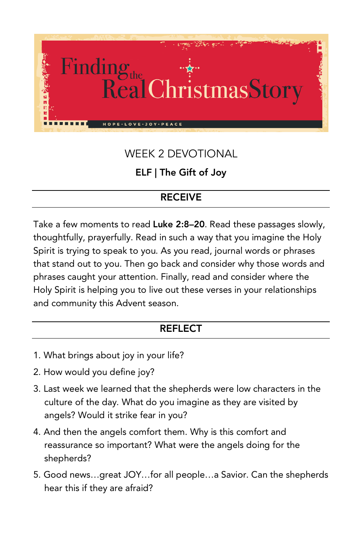

# WEEK 2 DEVOTIONAL

### ELF | The Gift of Joy

## RECEIVE

Take a few moments to read Luke 2:8–20. Read these passages slowly, thoughtfully, prayerfully. Read in such a way that you imagine the Holy Spirit is trying to speak to you. As you read, journal words or phrases that stand out to you. Then go back and consider why those words and phrases caught your attention. Finally, read and consider where the Holy Spirit is helping you to live out these verses in your relationships and community this Advent season.

#### REFLECT

- 1. What brings about joy in your life?
- 2. How would you define joy?
- 3. Last week we learned that the shepherds were low characters in the culture of the day. What do you imagine as they are visited by angels? Would it strike fear in you?
- 4. And then the angels comfort them. Why is this comfort and reassurance so important? What were the angels doing for the shepherds?
- 5. Good news…great JOY…for all people…a Savior. Can the shepherds hear this if they are afraid?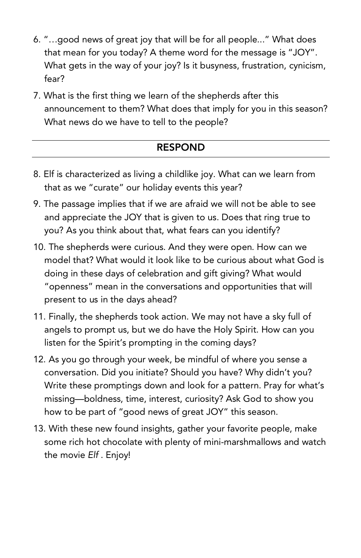- 6. "…good news of great joy that will be for all people..." What does that mean for you today? A theme word for the message is "JOY". What gets in the way of your joy? Is it busyness, frustration, cynicism, fear?
- 7. What is the first thing we learn of the shepherds after this announcement to them? What does that imply for you in this season? What news do we have to tell to the people?

#### RESPOND

- 8. Elf is characterized as living a childlike joy. What can we learn from that as we "curate" our holiday events this year?
- 9. The passage implies that if we are afraid we will not be able to see and appreciate the JOY that is given to us. Does that ring true to you? As you think about that, what fears can you identify?
- 10. The shepherds were curious. And they were open. How can we model that? What would it look like to be curious about what God is doing in these days of celebration and gift giving? What would "openness" mean in the conversations and opportunities that will present to us in the days ahead?
- 11. Finally, the shepherds took action. We may not have a sky full of angels to prompt us, but we do have the Holy Spirit. How can you listen for the Spirit's prompting in the coming days?
- 12. As you go through your week, be mindful of where you sense a conversation. Did you initiate? Should you have? Why didn't you? Write these promptings down and look for a pattern. Pray for what's missing—boldness, time, interest, curiosity? Ask God to show you how to be part of "good news of great JOY" this season.
- 13. With these new found insights, gather your favorite people, make some rich hot chocolate with plenty of mini-marshmallows and watch the movie *Elf* . Enjoy!